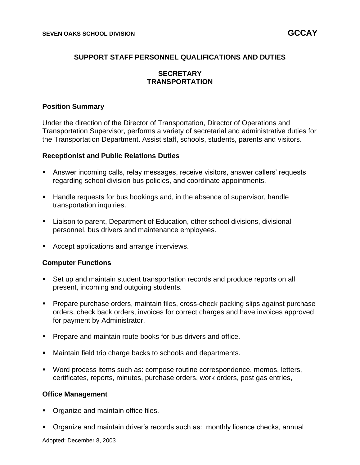# **SUPPORT STAFF PERSONNEL QUALIFICATIONS AND DUTIES**

# **SECRETARY TRANSPORTATION**

# **Position Summary**

Under the direction of the Director of Transportation, Director of Operations and Transportation Supervisor, performs a variety of secretarial and administrative duties for the Transportation Department. Assist staff, schools, students, parents and visitors.

## **Receptionist and Public Relations Duties**

- Answer incoming calls, relay messages, receive visitors, answer callers' requests regarding school division bus policies, and coordinate appointments.
- Handle requests for bus bookings and, in the absence of supervisor, handle transportation inquiries.
- Liaison to parent, Department of Education, other school divisions, divisional personnel, bus drivers and maintenance employees.
- Accept applications and arrange interviews.

## **Computer Functions**

- Set up and maintain student transportation records and produce reports on all present, incoming and outgoing students.
- Prepare purchase orders, maintain files, cross-check packing slips against purchase orders, check back orders, invoices for correct charges and have invoices approved for payment by Administrator.
- Prepare and maintain route books for bus drivers and office.
- Maintain field trip charge backs to schools and departments.
- Word process items such as: compose routine correspondence, memos, letters, certificates, reports, minutes, purchase orders, work orders, post gas entries,

## **Office Management**

- Organize and maintain office files.
- Organize and maintain driver's records such as: monthly licence checks, annual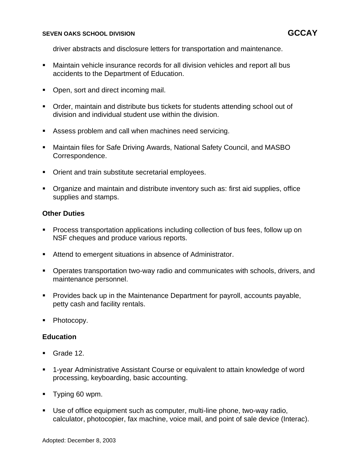#### **SEVEN OAKS SCHOOL DIVISION GCCAY**

driver abstracts and disclosure letters for transportation and maintenance.

- Maintain vehicle insurance records for all division vehicles and report all bus accidents to the Department of Education.
- Open, sort and direct incoming mail.
- Order, maintain and distribute bus tickets for students attending school out of division and individual student use within the division.
- Assess problem and call when machines need servicing.
- Maintain files for Safe Driving Awards, National Safety Council, and MASBO Correspondence.
- Orient and train substitute secretarial employees.
- Organize and maintain and distribute inventory such as: first aid supplies, office supplies and stamps.

# **Other Duties**

- Process transportation applications including collection of bus fees, follow up on NSF cheques and produce various reports.
- Attend to emergent situations in absence of Administrator.
- **Operates transportation two-way radio and communicates with schools, drivers, and** maintenance personnel.
- Provides back up in the Maintenance Department for payroll, accounts payable, petty cash and facility rentals.
- Photocopy.

## **Education**

- Grade 12.
- 1-year Administrative Assistant Course or equivalent to attain knowledge of word processing, keyboarding, basic accounting.
- Typing 60 wpm.
- Use of office equipment such as computer, multi-line phone, two-way radio, calculator, photocopier, fax machine, voice mail, and point of sale device (Interac).